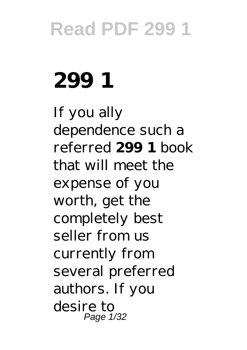# **299 1**

If you ally dependence such a referred **299 1** book that will meet the expense of you worth, get the completely best seller from us currently from several preferred authors. If you desire to Page 1/32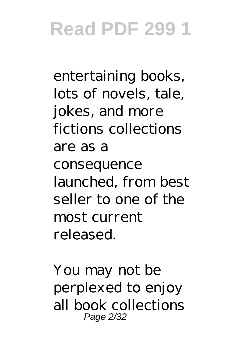entertaining books, lots of novels, tale, jokes, and more fictions collections are as a consequence launched, from best seller to one of the most current released.

You may not be perplexed to enjoy all book collections Page 2/32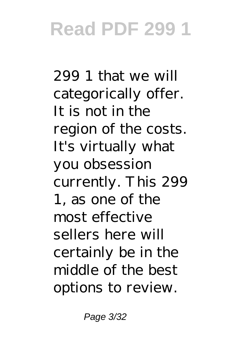299 1 that we will categorically offer. It is not in the region of the costs. It's virtually what you obsession currently. This 299 1, as one of the most effective sellers here will certainly be in the middle of the best options to review.

Page 3/32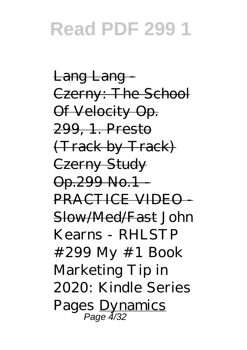Lang Lang – Czerny: The School Of Velocity Op. 299, 1. Presto (Track by Track) Czerny Study  $Op.299$  No.1  $-$ PRACTICE VIDEO - Slow/Med/Fast John Kearns - RHLSTP #299 *My #1 Book Marketing Tip in 2020: Kindle Series Pages* Dynamics Page 4/32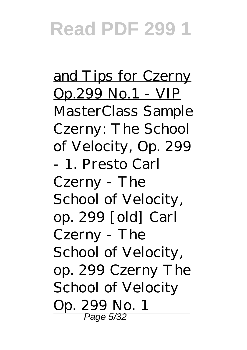and Tips for Czerny Op.299 No.1 - VIP MasterClass Sample Czerny: The School of Velocity, Op. 299 - 1. Presto Carl Czerny - The School of Velocity, op. 299 *[old] Carl Czerny - The School of Velocity, op. 299* Czerny The School of Velocity Op. 299 No. 1 Page 5/32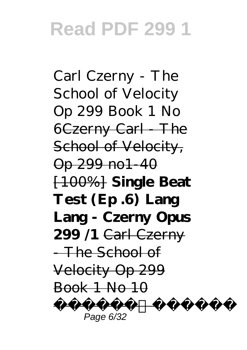Carl Czerny - The School of Velocity Op 299 Book 1 No 6Czerny Carl - The School of Velocity, Op 299 no1-40 [100%] **Single Beat Test (Ep .6) Lang Lang - Czerny Opus 299 /1** Carl Czerny - The School of Velocity Op 299 Book 1 No 10

जंगल बुक Page 6/32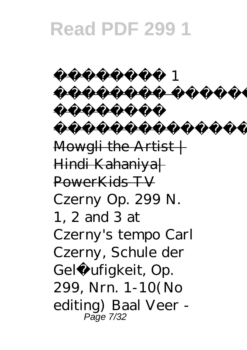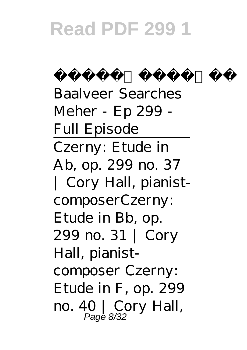*बालवीर -*

*Baalveer Searches Meher - Ep 299 - Full Episode* Czerny: Etude in Ab, op. 299 no. 37 | Cory Hall, pianistcomposer*Czerny: Etude in Bb, op. 299 no. 31 | Cory Hall, pianistcomposer* Czerny: Etude in F, op. 299 no. 40 | Cory Hall, Page 8/32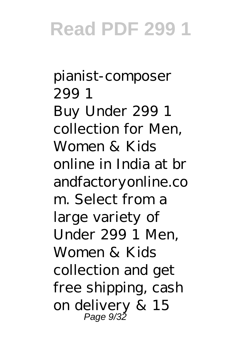pianist-composer *299 1* Buy Under 299 1 collection for Men, Women & Kids online in India at br andfactoryonline.co m. Select from a large variety of Under 299 1 Men, Women & Kids collection and get free shipping, cash on delivery & 15 Page 9/32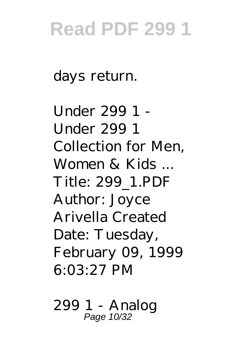#### days return.

*Under 299 1 - Under 299 1 Collection for Men, Women & Kids ...* Title: 299\_1.PDF Author: Joyce Arivella Created Date: Tuesday, February 09, 1999 6:03:27 PM

*299 1 - Analog* Page 10/32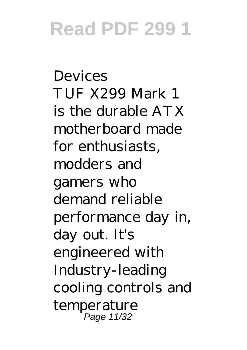*Devices* TUF X299 Mark 1 is the durable ATX motherboard made for enthusiasts, modders and gamers who demand reliable performance day in, day out. It's engineered with Industry-leading cooling controls and temperature Page 11/32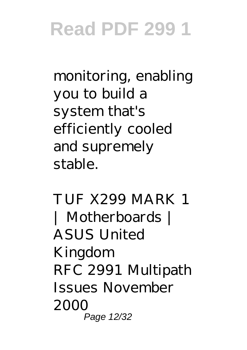monitoring, enabling you to build a system that's efficiently cooled and supremely stable.

*TUF X299 MARK 1 | Motherboards | ASUS United Kingdom* RFC 2991 Multipath Issues November 2000 Page 12/32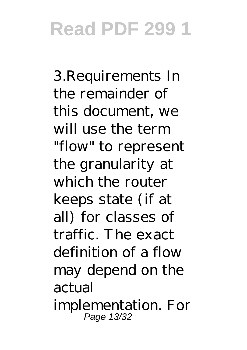3.Requirements In the remainder of this document, we will use the term "flow" to represent the granularity at which the router keeps state (if at all) for classes of traffic. The exact definition of a flow may depend on the actual implementation. For Page 13/32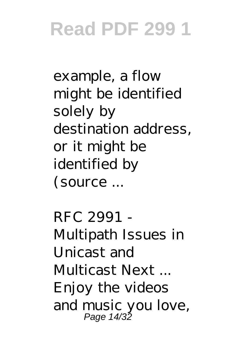example, a flow might be identified solely by destination address, or it might be identified by (source ...

*RFC 2991 - Multipath Issues in Unicast and Multicast Next ...* Enjoy the videos and music you love, Page 14/32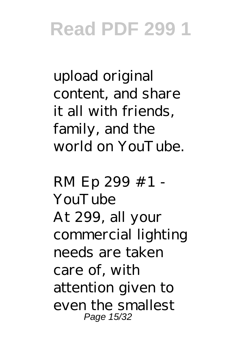upload original content, and share it all with friends, family, and the world on YouTube.

*RM Ep 299 #1 - YouTube* At 299, all your commercial lighting needs are taken care of, with attention given to even the smallest Page 15/32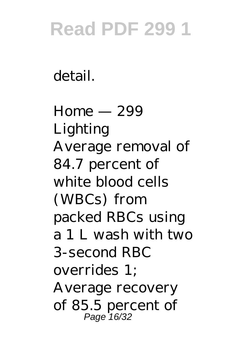#### detail.

*Home — 299 Lighting* Average removal of 84.7 percent of white blood cells (WBCs) from packed RBCs using a 1 L wash with two 3-second RBC overrides 1; Average recovery of 85.5 percent of Page 16/32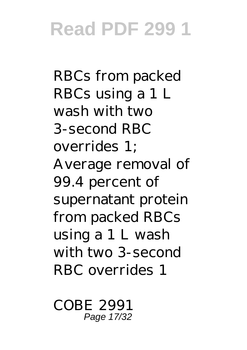RBCs from packed RBCs using a 1 L wash with two 3-second RBC overrides 1; Average removal of 99.4 percent of supernatant protein from packed RBCs using a 1 L wash with two 3-second RBC overrides 1

*COBE 2991* Page 17/32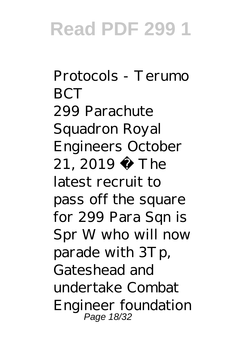*Protocols - Terumo BCT* 299 Parachute Squadron Royal Engineers October 21, 2019 · The latest recruit to pass off the square for 299 Para Sqn is Spr W who will now parade with 3Tp, Gateshead and undertake Combat Engineer foundation Page 18/32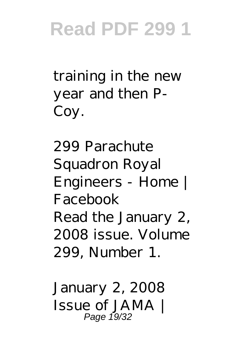training in the new year and then P-Coy.

*299 Parachute Squadron Royal Engineers - Home | Facebook* Read the January 2, 2008 issue. Volume 299, Number 1.

*January 2, 2008 Issue of JAMA |* Page 19/32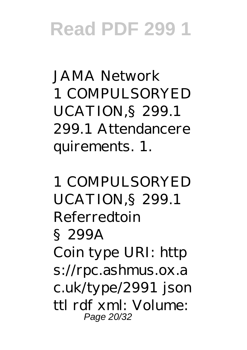*JAMA Network* 1 COMPULSORYED UCATION,§299.1 299.1 Attendancere quirements. 1.

*1 COMPULSORYED UCATION,§299.1 Referredtoin §299A* Coin type URI: http s://rpc.ashmus.ox.a c.uk/type/2991 json ttl rdf xml: Volume: Page 20/32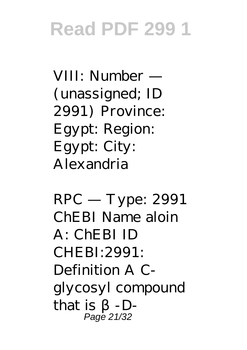VIII: Number — (unassigned; ID 2991) Province: Egypt: Region: Egypt: City: Alexandria

*RPC — Type: 2991* ChEBI Name aloin  $A \cdot ChFRI$  ID  $CHERI·2991·$ Definition A Cglycosyl compound that is  $-D$ -Page 21/32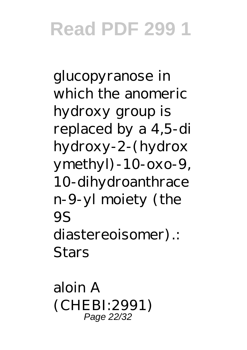glucopyranose in which the anomeric hydroxy group is replaced by a 4,5-di hydroxy-2-(hydrox ymethyl)-10-oxo-9, 10-dihydroanthrace n-9-yl moiety (the  $\overline{Q}S$ 

diastereoisomer).: Stars

*aloin A (CHEBI:2991)* Page 22/32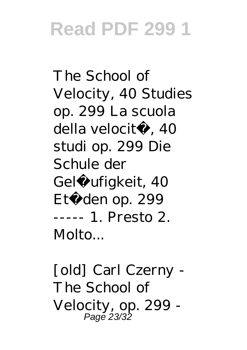The School of Velocity, 40 Studies op. 299 La scuola della velocità, 40 studi op. 299 Die Schule der Gelä ufigkeit, 40 Etü den op. 299 ----- 1. Presto 2. Molto...

*[old] Carl Czerny - The School of Velocity, op. 299 -* Page 23/32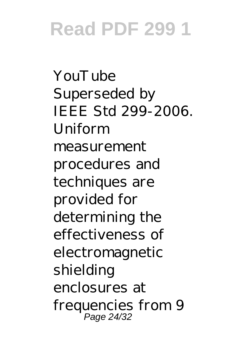*YouTube* Superseded by IEEE Std 299-2006. Uniform measurement procedures and techniques are provided for determining the effectiveness of electromagnetic shielding enclosures at frequencies from 9 Page 24/32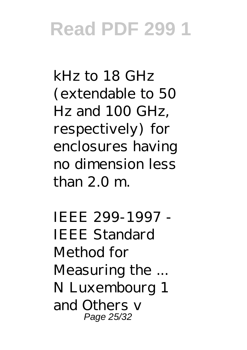kHz to 18 GHz (extendable to 50 Hz and 100 GHz, respectively) for enclosures having no dimension less than  $2.0<sub>m</sub>$ 

*IEEE 299-1997 - IEEE Standard Method for Measuring the ...* N Luxembourg 1 and Others v Page 25/32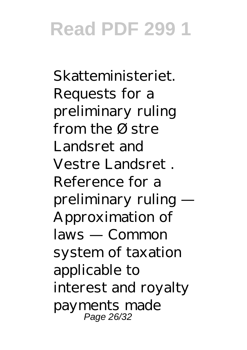Skatteministeriet. Requests for a preliminary ruling from the Østre Landsret and Vestre Landsret . Reference for a preliminary ruling — Approximation of laws — Common system of taxation applicable to interest and royalty payments made Page 26/32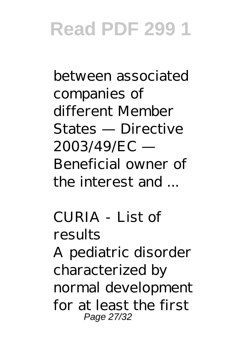between associated companies of different Member States — Directive 2003/49/EC — Beneficial owner of the interest and ...

*CURIA - List of results* A pediatric disorder characterized by normal development for at least the first Page 27/32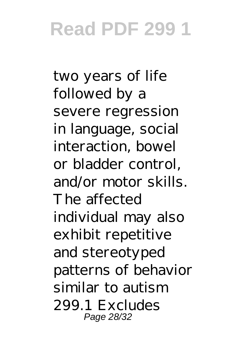two years of life followed by a severe regression in language, social interaction, bowel or bladder control, and/or motor skills. The affected individual may also exhibit repetitive and stereotyped patterns of behavior similar to autism 299.1 Excludes Page 28/32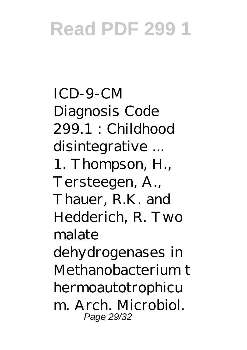*ICD-9-CM Diagnosis Code 299.1 : Childhood disintegrative ...* 1. Thompson, H., Tersteegen, A., Thauer, R.K. and Hedderich, R. Two malate dehydrogenases in Methanobacterium t hermoautotrophicu m. Arch. Microbiol. Page 29/32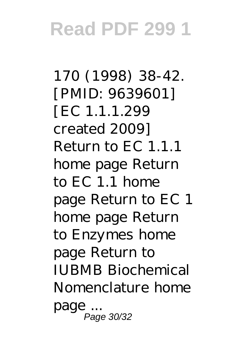170 (1998) 38-42. [PMID: 9639601] [EC 1.1.1.299 created 2009] Return to EC 1.1.1 home page Return to EC 1.1 home page Return to EC 1 home page Return to Enzymes home page Return to IUBMB Biochemical Nomenclature home page ... Page 30/32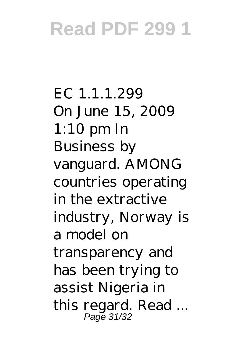*EC 1.1.1.299* On June 15, 2009 1:10 pm In Business by vanguard. AMONG countries operating in the extractive industry, Norway is a model on transparency and has been trying to assist Nigeria in this regard. Read ... Page 31/32